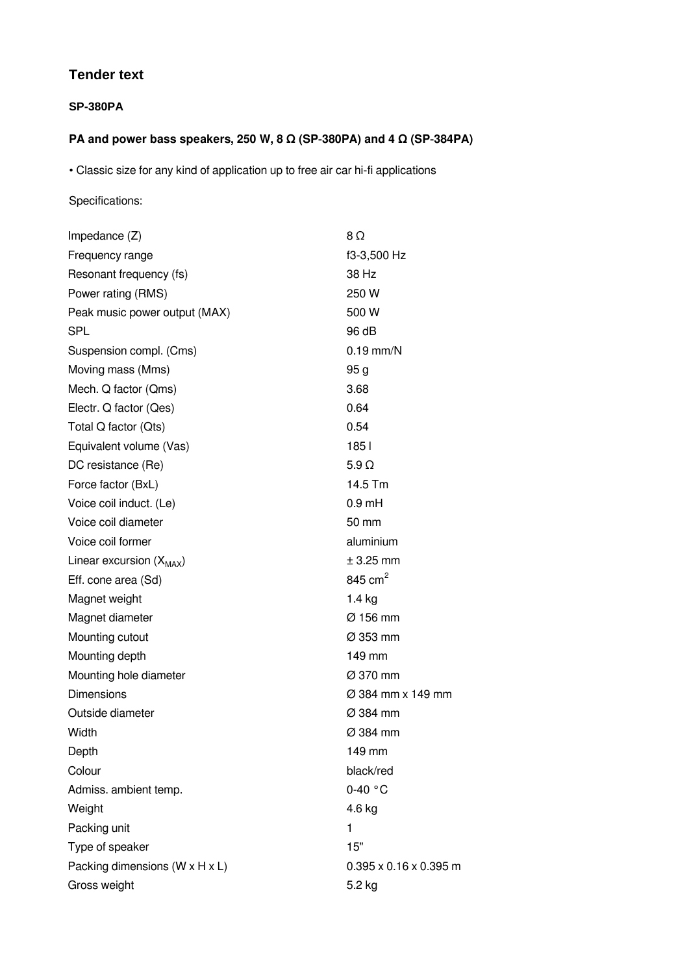## **Tender text**

## **SP-380PA**

## **PA and power bass speakers, 250 W, 8 Ω (SP‑380PA) and 4 Ω (SP‑384PA)**

• Classic size for any kind of application up to free air car hi-fi applications

## Specifications:

| Impedance $(Z)$                | $8\Omega$                          |
|--------------------------------|------------------------------------|
| Frequency range                | f3-3,500 Hz                        |
| Resonant frequency (fs)        | 38 Hz                              |
|                                | 250 W                              |
| Power rating (RMS)             |                                    |
| Peak music power output (MAX)  | 500 W                              |
| <b>SPL</b>                     | 96 dB                              |
| Suspension compl. (Cms)        | $0.19$ mm/N                        |
| Moving mass (Mms)              | 95 <sub>g</sub>                    |
| Mech. Q factor (Qms)           | 3.68                               |
| Electr. Q factor (Qes)         | 0.64                               |
| Total Q factor (Qts)           | 0.54                               |
| Equivalent volume (Vas)        | 1851                               |
| DC resistance (Re)             | $5.9 \Omega$                       |
| Force factor (BxL)             | 14.5 Tm                            |
| Voice coil induct. (Le)        | $0.9$ mH                           |
| Voice coil diameter            | 50 mm                              |
| Voice coil former              | aluminium                          |
| Linear excursion $(X_{MAX})$   | $±$ 3.25 mm                        |
| Eff. cone area (Sd)            | 845 cm <sup>2</sup>                |
| Magnet weight                  | $1.4$ kg                           |
| Magnet diameter                | $\varnothing$ 156 mm               |
| Mounting cutout                | $\varnothing$ 353 mm               |
| Mounting depth                 | 149 mm                             |
| Mounting hole diameter         | Ø 370 mm                           |
| <b>Dimensions</b>              | $\varnothing$ 384 mm x 149 mm      |
| Outside diameter               | Ø 384 mm                           |
| Width                          | Ø 384 mm                           |
| Depth                          | 149 mm                             |
| Colour                         | black/red                          |
| Admiss. ambient temp.          | $0-40$ °C                          |
| Weight                         | 4.6 kg                             |
| Packing unit                   | 1                                  |
| Type of speaker                | 15"                                |
| Packing dimensions (W x H x L) | $0.395 \times 0.16 \times 0.395$ m |
| Gross weight                   | 5.2 kg                             |